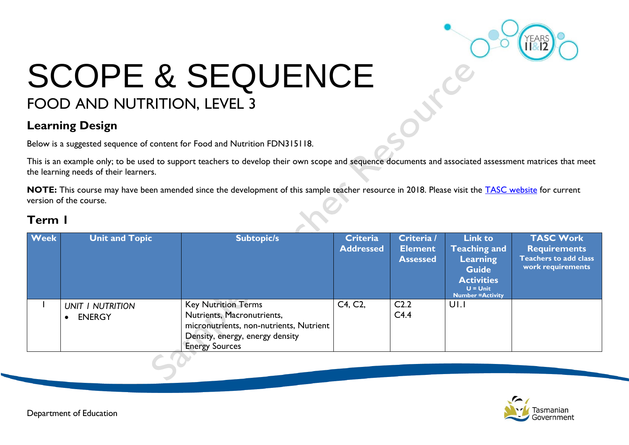

# SCOPE & SEQUENCE FOOD AND NUTRITION, LEVEL 3

### **Learning Design**

Below is a suggested sequence of content for Food and Nutrition FDN315118.

This is an example only; to be used to support teachers to develop their own scope and sequence documents and associated assessment matrices that meet the learning needs of their learners.

**NOTE:** This course may have been amended since the development of this sample teacher resource in 2018. Please visit the [TASC website](https://www.tasc.tas.gov.au/students/courses/a-z/) for current version of the course.

| <b>Week</b> | <b>Unit and Topic</b>             | <b>Subtopic/s</b>                                                                                                                                               | <b>Criteria</b><br><b>Addressed</b> | Criteria /<br><b>Element</b><br><b>Assessed</b> | <b>Link to</b><br><b>Teaching and</b><br><b>Learning</b><br><b>Guide</b><br><b>Activities</b><br>$U =$ Unit<br><b>Number = Activity</b> | <b>TASC Work</b><br><b>Requirements</b><br><b>Teachers to add class</b><br>work requirements |
|-------------|-----------------------------------|-----------------------------------------------------------------------------------------------------------------------------------------------------------------|-------------------------------------|-------------------------------------------------|-----------------------------------------------------------------------------------------------------------------------------------------|----------------------------------------------------------------------------------------------|
|             | UNIT I NUTRITION<br><b>ENERGY</b> | <b>Key Nutrition Terms</b><br>Nutrients, Macronutrients,<br>micronutrients, non-nutrients, Nutrient<br>Density, energy, energy density<br><b>Energy Sources</b> | C4, C2,                             | C <sub>2.2</sub><br>C4.4                        | UI.I                                                                                                                                    |                                                                                              |

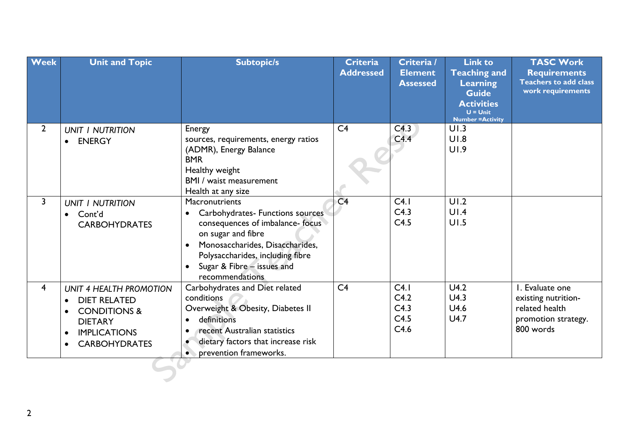| <b>Week</b>             | <b>Unit and Topic</b>                                                                                                                      | <b>Subtopic/s</b>                                                                                                                                                                                                                                    | <b>Criteria</b><br><b>Addressed</b> | Criteria /<br><b>Element</b><br><b>Assessed</b> | <b>Link to</b><br><b>Teaching and</b><br>Learning<br><b>Guide</b><br><b>Activities</b><br>$U =$ Unit<br><b>Number = Activity</b> | <b>TASC Work</b><br><b>Requirements</b><br><b>Teachers to add class</b><br>work requirements |
|-------------------------|--------------------------------------------------------------------------------------------------------------------------------------------|------------------------------------------------------------------------------------------------------------------------------------------------------------------------------------------------------------------------------------------------------|-------------------------------------|-------------------------------------------------|----------------------------------------------------------------------------------------------------------------------------------|----------------------------------------------------------------------------------------------|
| $\overline{2}$          | <b>UNIT I NUTRITION</b><br><b>ENERGY</b>                                                                                                   | Energy<br>sources, requirements, energy ratios<br>(ADMR), Energy Balance<br><b>BMR</b><br>Healthy weight<br>BMI / waist measurement<br>Health at any size                                                                                            | C <sub>4</sub>                      | C4.3<br>C4.4                                    | UI.3<br>U1.8<br>UI.9                                                                                                             |                                                                                              |
| 3                       | <b>UNIT I NUTRITION</b><br>Cont'd<br><b>CARBOHYDRATES</b>                                                                                  | Macronutrients<br>Carbohydrates- Functions sources<br>$\bullet$<br>consequences of imbalance-focus<br>on sugar and fibre<br>Monosaccharides, Disaccharides,<br>Polysaccharides, including fibre<br>Sugar & Fibre - issues and<br>recommendations     | C <sub>4</sub>                      | C4.1<br>C4.3<br>C4.5                            | UI.2<br>UI.4<br>UI.5                                                                                                             |                                                                                              |
| $\overline{\mathbf{4}}$ | UNIT 4 HEALTH PROMOTION<br><b>DIET RELATED</b><br><b>CONDITIONS &amp;</b><br><b>DIETARY</b><br><b>IMPLICATIONS</b><br><b>CARBOHYDRATES</b> | Carbohydrates and Diet related<br>conditions<br>Overweight & Obesity, Diabetes II<br>definitions<br>$\bullet$<br>recent Australian statistics<br>$\bullet$<br>dietary factors that increase risk<br>$\bullet$<br>prevention frameworks.<br>$\bullet$ | C <sub>4</sub>                      | C4.1<br>C4.2<br>C4.3<br>C4.5<br>C4.6            | U4.2<br>U4.3<br>U4.6<br>U4.7                                                                                                     | I. Evaluate one<br>existing nutrition-<br>related health<br>promotion strategy.<br>800 words |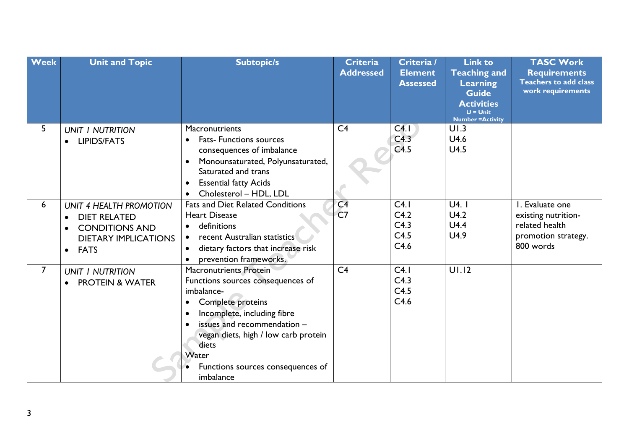| <b>Week</b>    | <b>Unit and Topic</b>                                                                                                                           | <b>Subtopic/s</b>                                                                                                                                                                                                                                                                                         | <b>Criteria</b><br><b>Addressed</b> | Criteria /<br><b>Element</b><br><b>Assessed</b> | <b>Link to</b><br><b>Teaching and</b><br><b>Learning</b><br><b>Guide</b><br><b>Activities</b><br>$U =$ Unit<br><b>Number = Activity</b> | <b>TASC Work</b><br><b>Requirements</b><br><b>Teachers to add class</b><br>work requirements |
|----------------|-------------------------------------------------------------------------------------------------------------------------------------------------|-----------------------------------------------------------------------------------------------------------------------------------------------------------------------------------------------------------------------------------------------------------------------------------------------------------|-------------------------------------|-------------------------------------------------|-----------------------------------------------------------------------------------------------------------------------------------------|----------------------------------------------------------------------------------------------|
| 5              | <b>UNIT I NUTRITION</b><br><b>LIPIDS/FATS</b>                                                                                                   | Macronutrients<br><b>Fats- Functions sources</b><br>consequences of imbalance<br>Monounsaturated, Polyunsaturated,<br>Saturated and trans<br><b>Essential fatty Acids</b><br>$\bullet$<br>Cholesterol - HDL, LDL<br>$\bullet$                                                                             | C <sub>4</sub>                      | CA.1<br>C4.3<br>C4.5                            | UI.3<br>U4.6<br>U4.5                                                                                                                    |                                                                                              |
| 6              | UNIT 4 HEALTH PROMOTION<br><b>DIET RELATED</b><br>$\bullet$<br><b>CONDITIONS AND</b><br><b>DIETARY IMPLICATIONS</b><br><b>FATS</b><br>$\bullet$ | Fats and Diet Related Conditions<br><b>Heart Disease</b><br>definitions<br>$\bullet$<br>recent Australian statistics<br>$\bullet$<br>dietary factors that increase risk<br>$\bullet$<br>prevention frameworks.<br>$\bullet$                                                                               | C <sub>4</sub><br>C <sub>7</sub>    | C4.1<br>C4.2<br>C4.3<br>C4.5<br>C4.6            | U4.1<br>U4.2<br>U4.4<br>U4.9                                                                                                            | I. Evaluate one<br>existing nutrition-<br>related health<br>promotion strategy.<br>800 words |
| $\overline{7}$ | <b>UNIT I NUTRITION</b><br><b>PROTEIN &amp; WATER</b>                                                                                           | <b>Macronutrients Protein</b><br>Functions sources consequences of<br>imbalance-<br>Complete proteins<br>$\bullet$<br>Incomplete, including fibre<br>$\bullet$<br>issues and recommendation -<br>vegan diets, high / low carb protein<br>diets<br>Water<br>Functions sources consequences of<br>imbalance | C <sub>4</sub>                      | C4.1<br>C4.3<br>C4.5<br>C4.6                    | UI.12                                                                                                                                   |                                                                                              |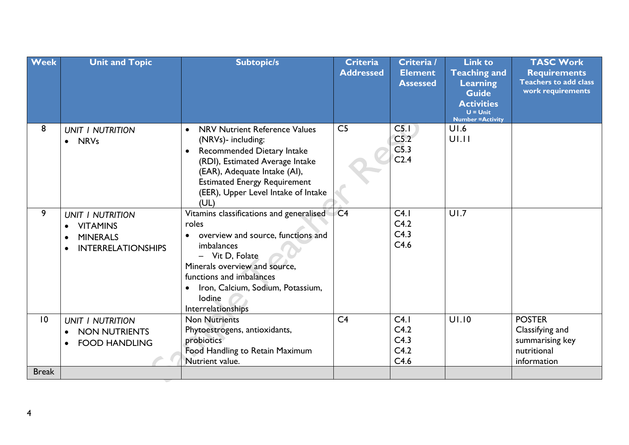| <b>UNIT I NUTRITION</b><br>$\bullet$<br>C5.2<br>$U$ .11<br>(NRVs)- including:<br>• NRVs<br>C <sub>5.3</sub><br>Recommended Dietary Intake<br>$\bullet$<br>C <sub>2.4</sub><br>(RDI), Estimated Average Intake<br>(EAR), Adequate Intake (AI),<br><b>Estimated Energy Requirement</b><br>(EER), Upper Level Intake of Intake<br>(UL)<br>9<br>C <sub>4</sub><br>UI.7<br>Vitamins classifications and generalised<br>C4.1<br><b>UNIT I NUTRITION</b><br>C4.2<br>roles<br><b>VITAMINS</b><br>C4.3<br>overview and source, functions and<br><b>MINERALS</b><br>C4.6<br>imbalances<br><b>INTERRELATIONSHIPS</b><br>- Vit D, Folate<br>Minerals overview and source,<br>functions and imbalances<br>Iron, Calcium, Sodium, Potassium,<br>lodine<br><b>Interrelationships</b><br>UI.10<br><b>POSTER</b><br>$\overline{10}$<br><b>Non Nutrients</b><br>C <sub>4</sub><br>C4.1<br><b>UNIT I NUTRITION</b><br>C4.2<br>Classifying and<br>Phytoestrogens, antioxidants,<br><b>NON NUTRIENTS</b><br>C4.3<br>probiotics<br>summarising key<br><b>FOOD HANDLING</b><br>C4.2<br>nutritional<br>Food Handling to Retain Maximum<br>C4.6<br>Nutrient value.<br>information | <b>Week</b> | <b>Unit and Topic</b> | <b>Subtopic/s</b>                    | <b>Criteria</b><br><b>Addressed</b> | Criteria /<br><b>Element</b><br><b>Assessed</b> | <b>Link to</b><br><b>Teaching and</b><br>Learning<br><b>Guide</b><br><b>Activities</b><br>$U =$ Unit<br><b>Number = Activity</b> | <b>TASC Work</b><br><b>Requirements</b><br><b>Teachers to add class</b><br>work requirements |
|----------------------------------------------------------------------------------------------------------------------------------------------------------------------------------------------------------------------------------------------------------------------------------------------------------------------------------------------------------------------------------------------------------------------------------------------------------------------------------------------------------------------------------------------------------------------------------------------------------------------------------------------------------------------------------------------------------------------------------------------------------------------------------------------------------------------------------------------------------------------------------------------------------------------------------------------------------------------------------------------------------------------------------------------------------------------------------------------------------------------------------------------------------|-------------|-----------------------|--------------------------------------|-------------------------------------|-------------------------------------------------|----------------------------------------------------------------------------------------------------------------------------------|----------------------------------------------------------------------------------------------|
|                                                                                                                                                                                                                                                                                                                                                                                                                                                                                                                                                                                                                                                                                                                                                                                                                                                                                                                                                                                                                                                                                                                                                          | 8           |                       | <b>NRV Nutrient Reference Values</b> | C <sub>5</sub>                      | C <sub>5.1</sub>                                | UI.6                                                                                                                             |                                                                                              |
|                                                                                                                                                                                                                                                                                                                                                                                                                                                                                                                                                                                                                                                                                                                                                                                                                                                                                                                                                                                                                                                                                                                                                          |             |                       |                                      |                                     |                                                 |                                                                                                                                  |                                                                                              |
|                                                                                                                                                                                                                                                                                                                                                                                                                                                                                                                                                                                                                                                                                                                                                                                                                                                                                                                                                                                                                                                                                                                                                          |             |                       |                                      |                                     |                                                 |                                                                                                                                  |                                                                                              |
| <b>Break</b>                                                                                                                                                                                                                                                                                                                                                                                                                                                                                                                                                                                                                                                                                                                                                                                                                                                                                                                                                                                                                                                                                                                                             |             |                       |                                      |                                     |                                                 |                                                                                                                                  |                                                                                              |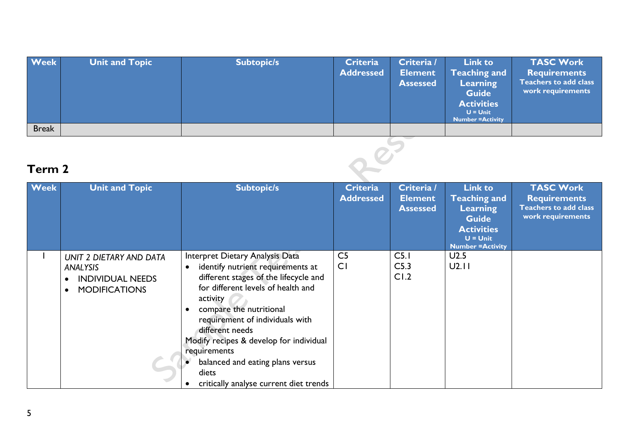| <b>Week</b>  | <b>Unit and Topic</b>   | <b>Subtopic/s</b>                                       | <b>Criteria</b><br><b>Addressed</b> | Criteria /<br><b>Element</b><br><b>Assessed</b> | <b>Link to</b><br>Teaching and<br>Learning<br><b>Guide</b><br><b>Activities</b><br>$U =$ Unit<br><b>Number = Activity</b> | <b>TASC Work</b><br><b>Requirements</b><br><b>Teachers to add class</b><br>work requirements |
|--------------|-------------------------|---------------------------------------------------------|-------------------------------------|-------------------------------------------------|---------------------------------------------------------------------------------------------------------------------------|----------------------------------------------------------------------------------------------|
| <b>Break</b> |                         |                                                         |                                     |                                                 |                                                                                                                           |                                                                                              |
| Term 2       |                         |                                                         |                                     |                                                 |                                                                                                                           |                                                                                              |
| Marshall 1   | <b>That's and Taute</b> | $\mathbf{C}$ . The figure $\mathbf{C}$ and $\mathbf{C}$ | $P = 1$                             | C <sub>1</sub>                                  | $\mathbf{I}$ , $\mathbf{I}$ and $\mathbf{I}$ and $\mathbf{I}$ and $\mathbf{I}$                                            | <b>TACC MALLE</b>                                                                            |

| <b>Week</b> | <b>Unit and Topic</b>                                                                  | <b>Subtopic/s</b>                                                                                                                                                                                                                                                                                                                                                                                  | <b>Criteria</b><br><b>Addressed</b> | Criteria /<br><b>Element</b><br><b>Assessed</b> | <b>Link to</b><br><b>Teaching and</b><br><b>Learning</b><br><b>Guide</b><br><b>Activities</b><br>$U =$ Unit<br><b>Number = Activity</b> | <b>TASC Work</b><br><b>Requirements</b><br><b>Teachers to add class</b><br>work requirements |
|-------------|----------------------------------------------------------------------------------------|----------------------------------------------------------------------------------------------------------------------------------------------------------------------------------------------------------------------------------------------------------------------------------------------------------------------------------------------------------------------------------------------------|-------------------------------------|-------------------------------------------------|-----------------------------------------------------------------------------------------------------------------------------------------|----------------------------------------------------------------------------------------------|
|             | UNIT 2 DIETARY AND DATA<br>ANALYSIS<br><b>INDIVIDUAL NEEDS</b><br><b>MODIFICATIONS</b> | Interpret Dietary Analysis Data<br>identify nutrient requirements at<br>different stages of the lifecycle and<br>for different levels of health and<br>activity<br>compare the nutritional<br>requirement of individuals with<br>different needs<br>Modify recipes & develop for individual<br>requirements<br>balanced and eating plans versus<br>diets<br>critically analyse current diet trends | C <sub>5</sub><br>C <sub>1</sub>    | C <sub>5.1</sub><br>C <sub>5.3</sub><br>CI.2    | U2.5<br>U2.11                                                                                                                           |                                                                                              |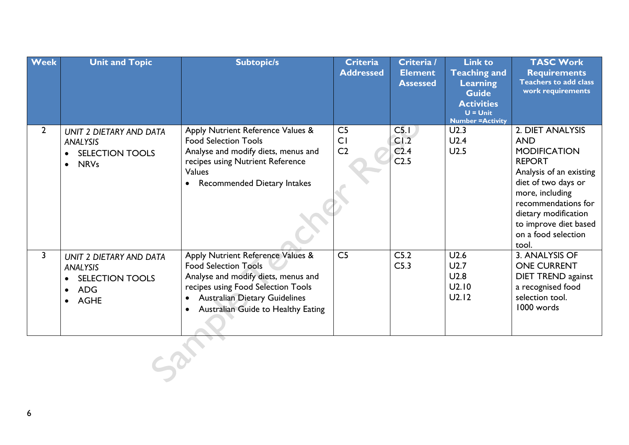| <b>Week</b>    | <b>Unit and Topic</b>                                                                                   | <b>Subtopic/s</b>                                                                                                                                                                                                                        | <b>Criteria</b><br><b>Addressed</b>    | Criteria /<br><b>Element</b><br><b>Assessed</b>                  | <b>Link to</b><br><b>Teaching and</b><br><b>Learning</b><br><b>Guide</b><br><b>Activities</b><br>$U =$ Unit<br><b>Number = Activity</b> | <b>TASC Work</b><br><b>Requirements</b><br><b>Teachers to add class</b><br>work requirements                                                                                                                                                        |
|----------------|---------------------------------------------------------------------------------------------------------|------------------------------------------------------------------------------------------------------------------------------------------------------------------------------------------------------------------------------------------|----------------------------------------|------------------------------------------------------------------|-----------------------------------------------------------------------------------------------------------------------------------------|-----------------------------------------------------------------------------------------------------------------------------------------------------------------------------------------------------------------------------------------------------|
| $\overline{2}$ | UNIT 2 DIETARY AND DATA<br>ANALYSIS<br><b>SELECTION TOOLS</b><br>$\bullet$<br><b>NRVs</b><br>$\bullet$  | Apply Nutrient Reference Values &<br><b>Food Selection Tools</b><br>Analyse and modify diets, menus and<br>recipes using Nutrient Reference<br>Values<br><b>Recommended Dietary Intakes</b>                                              | C <sub>5</sub><br>CI<br>C <sub>2</sub> | C <sub>5.1</sub><br>CI.2<br>C <sub>2.4</sub><br>C <sub>2.5</sub> | U2.3<br>U2.4<br>U2.5                                                                                                                    | 2. DIET ANALYSIS<br><b>AND</b><br><b>MODIFICATION</b><br><b>REPORT</b><br>Analysis of an existing<br>diet of two days or<br>more, including<br>recommendations for<br>dietary modification<br>to improve diet based<br>on a food selection<br>tool. |
| 3              | UNIT 2 DIETARY AND DATA<br>ANALYSIS<br><b>SELECTION TOOLS</b><br><b>ADG</b><br>$\bullet$<br><b>AGHE</b> | Apply Nutrient Reference Values &<br><b>Food Selection Tools</b><br>Analyse and modify diets, menus and<br>recipes using Food Selection Tools<br><b>Australian Dietary Guidelines</b><br>Australian Guide to Healthy Eating<br>$\bullet$ | C <sub>5</sub>                         | C5.2<br>C <sub>5.3</sub>                                         | U2.6<br>U2.7<br>U2.8<br>U2.10<br>U2.12                                                                                                  | 3. ANALYSIS OF<br><b>ONE CURRENT</b><br><b>DIET TREND against</b><br>a recognised food<br>selection tool.<br>1000 words                                                                                                                             |
|                |                                                                                                         |                                                                                                                                                                                                                                          |                                        |                                                                  |                                                                                                                                         |                                                                                                                                                                                                                                                     |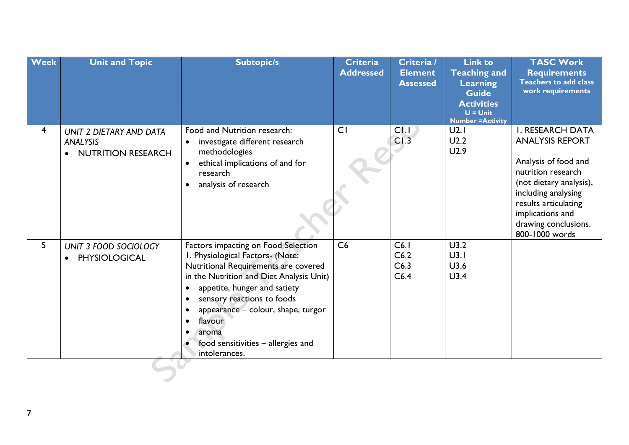| <b>Week</b>    | <b>Unit and Topic</b>                                            | <b>Subtopic/s</b>                                                                                                                                                                                                                                                                                                                                                                                   | <b>Criteria</b><br><b>Addressed</b> | Criteria /<br><b>Element</b><br><b>Assessed</b> | <b>Link to</b><br><b>Teaching and</b><br>Learning<br><b>Guide</b><br><b>Activities</b><br>$U =$ Unit<br><b>Number = Activity</b> | <b>TASC Work</b><br><b>Requirements</b><br><b>Teachers to add class</b><br>work requirements                                                                                                                                            |
|----------------|------------------------------------------------------------------|-----------------------------------------------------------------------------------------------------------------------------------------------------------------------------------------------------------------------------------------------------------------------------------------------------------------------------------------------------------------------------------------------------|-------------------------------------|-------------------------------------------------|----------------------------------------------------------------------------------------------------------------------------------|-----------------------------------------------------------------------------------------------------------------------------------------------------------------------------------------------------------------------------------------|
| $\overline{4}$ | UNIT 2 DIETARY AND DATA<br>ANALYSIS<br><b>NUTRITION RESEARCH</b> | Food and Nutrition research:<br>investigate different research<br>$\bullet$<br>methodologies<br>ethical implications of and for<br>$\bullet$<br>research<br>analysis of research                                                                                                                                                                                                                    | CI                                  | CI.I<br>CI.3                                    | U2.1<br>U2.2<br>U2.9                                                                                                             | <b>I. RESEARCH DATA</b><br><b>ANALYSIS REPORT</b><br>Analysis of food and<br>nutrition research<br>(not dietary analysis),<br>including analysing<br>results articulating<br>implications and<br>drawing conclusions.<br>800-1000 words |
| 5              | UNIT 3 FOOD SOCIOLOGY<br><b>PHYSIOLOGICAL</b>                    | Factors impacting on Food Selection<br>I. Physiological Factors- (Note:<br>Nutritional Requirements are covered<br>in the Nutrition and Diet Analysis Unit)<br>appetite, hunger and satiety<br>$\bullet$<br>sensory reactions to foods<br>$\bullet$<br>appearance - colour, shape, turgor<br>$\bullet$<br>flavour<br>$\bullet$<br>aroma<br>٠<br>food sensitivities - allergies and<br>intolerances. | C6                                  | C6.1<br>C6.2<br>C6.3<br>C6.4                    | U3.2<br>U3.1<br>U3.6<br>U3.4                                                                                                     |                                                                                                                                                                                                                                         |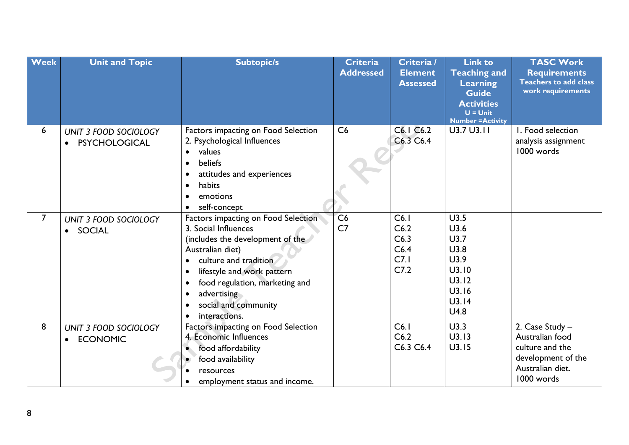| <b>Week</b>    | <b>Unit and Topic</b>                         | <b>Subtopic/s</b>                                                                                                                                                                                                                                                                                                        | Criteria<br><b>Addressed</b> | Criteria /<br><b>Element</b><br><b>Assessed</b> | <b>Link to</b><br><b>Teaching and</b><br>Learning<br><b>Guide</b><br><b>Activities</b><br>$U = Unit$<br><b>Number = Activity</b> | <b>TASC Work</b><br><b>Requirements</b><br><b>Teachers to add class</b><br>work requirements                  |
|----------------|-----------------------------------------------|--------------------------------------------------------------------------------------------------------------------------------------------------------------------------------------------------------------------------------------------------------------------------------------------------------------------------|------------------------------|-------------------------------------------------|----------------------------------------------------------------------------------------------------------------------------------|---------------------------------------------------------------------------------------------------------------|
| 6              | UNIT 3 FOOD SOCIOLOGY<br><b>PSYCHOLOGICAL</b> | Factors impacting on Food Selection<br>2. Psychological Influences<br>values<br>$\bullet$<br>beliefs<br>$\bullet$<br>attitudes and experiences<br>$\bullet$<br>habits<br>$\bullet$<br>emotions<br>$\bullet$<br>self-concept                                                                                              | C6                           | C6.1 C6.2<br>C6.3 C6.4                          | U3.7 U3.11                                                                                                                       | I. Food selection<br>analysis assignment<br>1000 words                                                        |
| $\overline{7}$ | UNIT 3 FOOD SOCIOLOGY<br>· SOCIAL             | Factors impacting on Food Selection<br>3. Social Influences<br>(includes the development of the<br>Australian diet)<br>culture and tradition<br>lifestyle and work pattern<br>$\bullet$<br>food regulation, marketing and<br>$\bullet$<br>advertising<br>$\bullet$<br>social and community<br>interactions.<br>$\bullet$ | C6<br>C <sub>7</sub>         | C6.1<br>C6.2<br>C6.3<br>C6.4<br>C7.1<br>C7.2    | U3.5<br>U3.6<br>U3.7<br>U3.8<br>U3.9<br>U3.10<br>U3.12<br>U3.16<br>U3.14<br>U4.8                                                 |                                                                                                               |
| 8              | UNIT 3 FOOD SOCIOLOGY<br><b>ECONOMIC</b>      | Factors impacting on Food Selection<br>4. Economic Influences<br>food affordability<br>$\bullet$<br>food availability<br>resources<br>employment status and income.                                                                                                                                                      |                              | C6.1<br>C6.2<br>C6.3 C6.4                       | U3.3<br>U3.13<br>U3.15                                                                                                           | 2. Case Study -<br>Australian food<br>culture and the<br>development of the<br>Australian diet.<br>1000 words |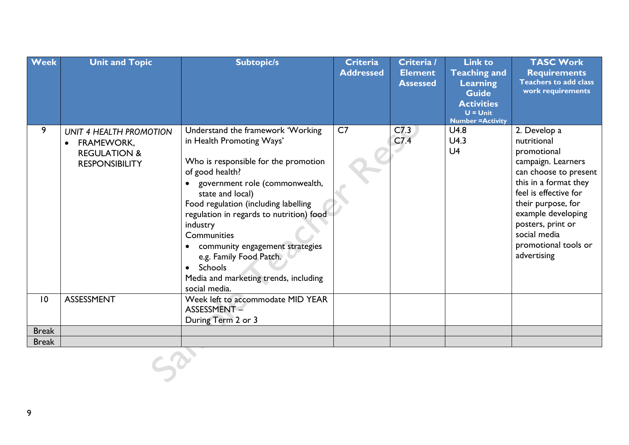| <b>Week</b>  | <b>Unit and Topic</b>                                                                            | <b>Subtopic/s</b>                                                                                                                                                                                                                                                                                                                                                                                                                 | Criteria<br><b>Addressed</b> | Criteria /<br><b>Element</b><br><b>Assessed</b> | <b>Link to</b><br><b>Teaching and</b><br>Learning<br><b>Guide</b><br><b>Activities</b><br>$U =$ Unit<br><b>Number = Activity</b> | <b>TASC Work</b><br><b>Requirements</b><br><b>Teachers to add class</b><br>work requirements                                                                                                                                                                        |
|--------------|--------------------------------------------------------------------------------------------------|-----------------------------------------------------------------------------------------------------------------------------------------------------------------------------------------------------------------------------------------------------------------------------------------------------------------------------------------------------------------------------------------------------------------------------------|------------------------------|-------------------------------------------------|----------------------------------------------------------------------------------------------------------------------------------|---------------------------------------------------------------------------------------------------------------------------------------------------------------------------------------------------------------------------------------------------------------------|
| 9            | UNIT 4 HEALTH PROMOTION<br><b>FRAMEWORK,</b><br><b>REGULATION &amp;</b><br><b>RESPONSIBILITY</b> | Understand the framework 'Working<br>in Health Promoting Ways'<br>Who is responsible for the promotion<br>of good health?<br>government role (commonwealth,<br>state and local)<br>Food regulation (including labelling<br>regulation in regards to nutrition) food<br>industry<br>Communities<br>community engagement strategies<br>e.g. Family Food Patch.<br>Schools<br>Media and marketing trends, including<br>social media. | C7                           | C <sub>7.3</sub><br>C7.4                        | U4.8<br>U4.3<br>U <sub>4</sub>                                                                                                   | 2. Develop a<br>nutritional<br>promotional<br>campaign. Learners<br>can choose to present<br>this in a format they<br>feel is effective for<br>their purpose, for<br>example developing<br>posters, print or<br>social media<br>promotional tools or<br>advertising |
| 10           | <b>ASSESSMENT</b>                                                                                | Week left to accommodate MID YEAR<br>ASSESSMENT-<br>During Term 2 or 3                                                                                                                                                                                                                                                                                                                                                            |                              |                                                 |                                                                                                                                  |                                                                                                                                                                                                                                                                     |
| <b>Break</b> |                                                                                                  |                                                                                                                                                                                                                                                                                                                                                                                                                                   |                              |                                                 |                                                                                                                                  |                                                                                                                                                                                                                                                                     |
| <b>Break</b> |                                                                                                  |                                                                                                                                                                                                                                                                                                                                                                                                                                   |                              |                                                 |                                                                                                                                  |                                                                                                                                                                                                                                                                     |
|              |                                                                                                  |                                                                                                                                                                                                                                                                                                                                                                                                                                   |                              |                                                 |                                                                                                                                  |                                                                                                                                                                                                                                                                     |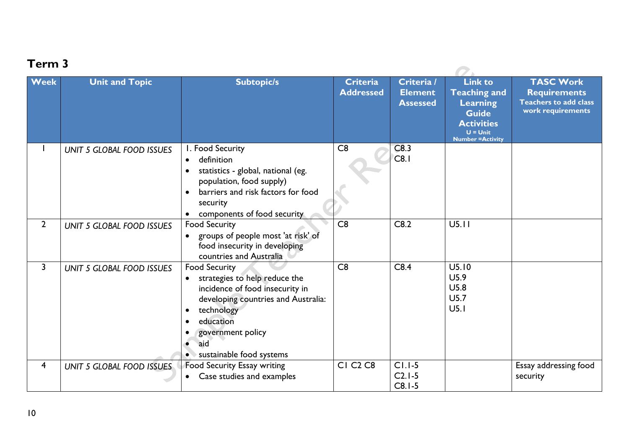| <u>i erili ə</u>        |                                  |                                                                                                                                                                                                                                                   |                                       |                                                 |                                                                                                                                         |                                                                                              |  |
|-------------------------|----------------------------------|---------------------------------------------------------------------------------------------------------------------------------------------------------------------------------------------------------------------------------------------------|---------------------------------------|-------------------------------------------------|-----------------------------------------------------------------------------------------------------------------------------------------|----------------------------------------------------------------------------------------------|--|
| <b>Week</b>             | <b>Unit and Topic</b>            | <b>Subtopic/s</b>                                                                                                                                                                                                                                 | Criteria<br><b>Addressed</b>          | Criteria /<br><b>Element</b><br><b>Assessed</b> | <b>Link to</b><br><b>Teaching and</b><br><b>Learning</b><br><b>Guide</b><br><b>Activities</b><br>$U =$ Unit<br><b>Number = Activity</b> | <b>TASC Work</b><br><b>Requirements</b><br><b>Teachers to add class</b><br>work requirements |  |
|                         | <b>UNIT 5 GLOBAL FOOD ISSUES</b> | I. Food Security<br>definition<br>$\bullet$<br>statistics - global, national (eg.<br>population, food supply)<br>barriers and risk factors for food<br>security<br>components of food security                                                    | C8                                    | C8.3<br>C8.1                                    |                                                                                                                                         |                                                                                              |  |
| $\overline{2}$          | <b>UNIT 5 GLOBAL FOOD ISSUES</b> | <b>Food Security</b><br>groups of people most 'at risk' of<br>food insecurity in developing<br>countries and Australia                                                                                                                            | C8                                    | C8.2                                            | U5.11                                                                                                                                   |                                                                                              |  |
| $\mathsf{3}$            | <b>UNIT 5 GLOBAL FOOD ISSUES</b> | <b>Food Security</b><br>strategies to help reduce the<br>incidence of food insecurity in<br>developing countries and Australia:<br>technology<br>$\bullet$<br>education<br>$\bullet$<br>government policy<br>aid<br>sustainable food systems<br>۰ | C8                                    | C8.4                                            | U5.10<br>U5.9<br>U5.8<br>U5.7<br>U <sub>5.1</sub>                                                                                       |                                                                                              |  |
| $\overline{\mathbf{4}}$ | UNIT 5 GLOBAL FOOD ISSUES        | Food Security Essay writing<br>Case studies and examples<br>$\bullet$                                                                                                                                                                             | <b>CI C<sub>2</sub> C<sub>8</sub></b> | $CI.I-5$<br>$C2.1-5$<br>$C8.1-5$                |                                                                                                                                         | Essay addressing food<br>security                                                            |  |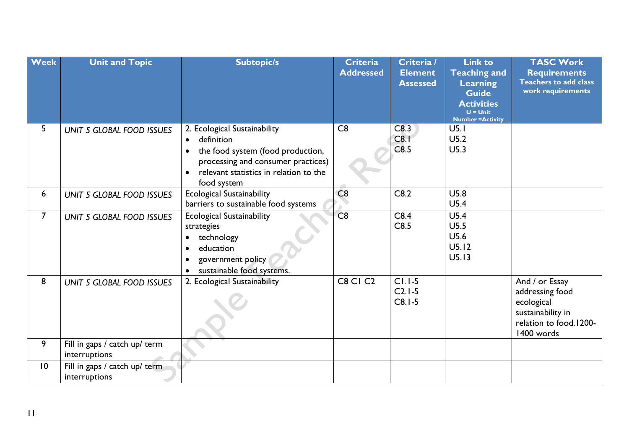| <b>Week</b>     | <b>Unit and Topic</b>                          | <b>Subtopic/s</b>                                                                                                                                                                                                     | <b>Criteria</b><br><b>Addressed</b> | Criteria /<br><b>Element</b><br><b>Assessed</b> | <b>Link to</b><br><b>Teaching and</b><br>Learning<br><b>Guide</b> | <b>TASC Work</b><br><b>Requirements</b><br><b>Teachers to add class</b><br>work requirements                 |
|-----------------|------------------------------------------------|-----------------------------------------------------------------------------------------------------------------------------------------------------------------------------------------------------------------------|-------------------------------------|-------------------------------------------------|-------------------------------------------------------------------|--------------------------------------------------------------------------------------------------------------|
|                 |                                                |                                                                                                                                                                                                                       |                                     |                                                 | <b>Activities</b><br>$U =$ Unit<br><b>Number = Activity</b>       |                                                                                                              |
| 5               | <b>UNIT 5 GLOBAL FOOD ISSUES</b>               | 2. Ecological Sustainability<br>definition<br>$\bullet$<br>the food system (food production,<br>$\bullet$<br>processing and consumer practices)<br>relevant statistics in relation to the<br>$\bullet$<br>food system | C8                                  | C8.3<br>C8.1<br>C8.5                            | U <sub>5.1</sub><br>U5.2<br>U5.3                                  |                                                                                                              |
| 6               | <b>UNIT 5 GLOBAL FOOD ISSUES</b>               | <b>Ecological Sustainability</b><br>barriers to sustainable food systems                                                                                                                                              | C8                                  | C8.2                                            | U5.8<br>U5.4                                                      |                                                                                                              |
| $\overline{7}$  | <b>UNIT 5 GLOBAL FOOD ISSUES</b>               | <b>Ecological Sustainability</b><br>strategies<br>technology<br>$\bullet$<br>education<br>$\bullet$<br>government policy<br>$\bullet$<br>sustainable food systems.                                                    | C8                                  | C8.4<br>C8.5                                    | U5.4<br>U5.5<br>U5.6<br>U5.12<br>U5.13                            |                                                                                                              |
| 8               | <b>UNIT 5 GLOBAL FOOD ISSUES</b>               | 2. Ecological Sustainability                                                                                                                                                                                          | <b>C8 C1 C2</b>                     | $CI.I-5$<br>$C2.1-5$<br>$C8.1-5$                |                                                                   | And / or Essay<br>addressing food<br>ecological<br>sustainability in<br>relation to food.1200-<br>1400 words |
| 9               | Fill in gaps / catch up/ term<br>interruptions |                                                                                                                                                                                                                       |                                     |                                                 |                                                                   |                                                                                                              |
| $\overline{10}$ | Fill in gaps / catch up/ term<br>interruptions |                                                                                                                                                                                                                       |                                     |                                                 |                                                                   |                                                                                                              |